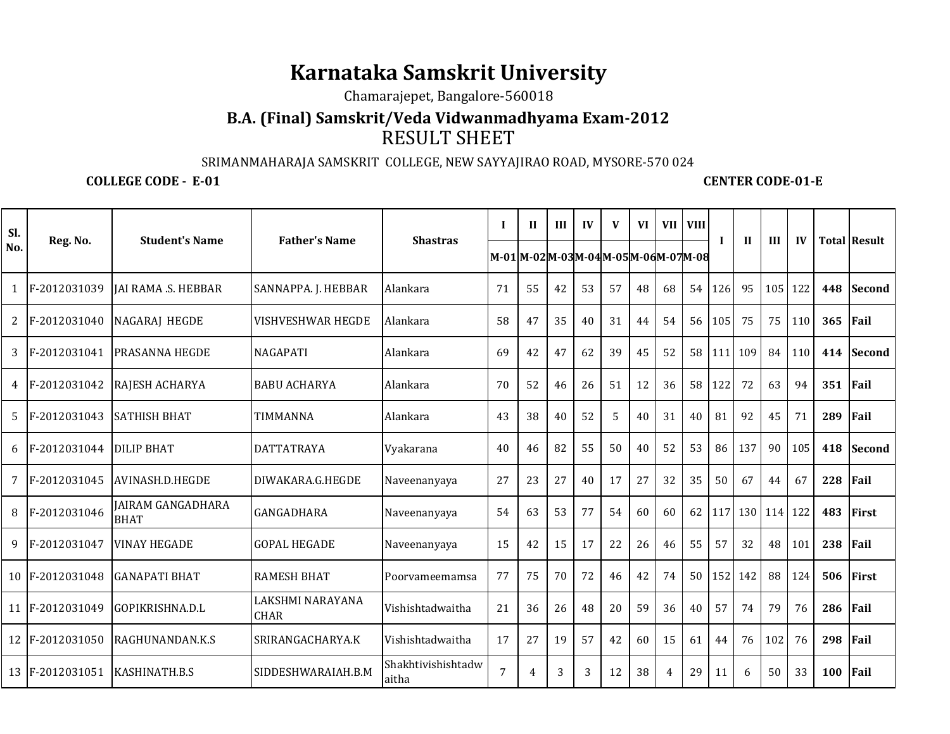# **Karnataka Samskrit University**

Chamarajepet, Bangalore-560018

## RESULT SHEET**B.A. (Final) Samskrit/Veda Vidwanmadhyama Exam-2012**

#### SRIMANMAHARAJA SAMSKRIT COLLEGE, NEW SAYYAJIRAO ROAD, MYSORE-570 024

### **COLLEGE CODE - E-01 CENTER CODE-01-E**

| Sl.                   |                 | <b>Student's Name</b>                   | <b>Father's Name</b>            | <b>Shastras</b>             | $\mathbf I$                             | $\mathbf{H}$ | III | $\mathbf{I}$ | V  | <b>VI</b> | VII I | <b>VIII</b>     | L   | $\mathbf{H}$ | III         |     |     | <b>Total Result</b> |
|-----------------------|-----------------|-----------------------------------------|---------------------------------|-----------------------------|-----------------------------------------|--------------|-----|--------------|----|-----------|-------|-----------------|-----|--------------|-------------|-----|-----|---------------------|
| No.                   | Reg. No.        |                                         |                                 |                             | M-01 M-02 M-03 M-04 M-05 M-06 M-07 M-08 |              |     |              |    |           |       |                 |     |              |             | IV  |     |                     |
| 1                     | F-2012031039    | <b>JAI RAMA .S. HEBBAR</b>              | SANNAPPA. J. HEBBAR             | Alankara                    | 71                                      | 55           | 42  | 53           | 57 | 48        | 68    | 54              | 126 | 95           | 105 122     |     | 448 | <b>Second</b>       |
| $\mathbf{2}^{\prime}$ | F-2012031040    | NAGARAJ HEGDE                           | <b>VISHVESHWAR HEGDE</b>        | Alankara                    | 58                                      | 47           | 35  | 40           | 31 | 44        | 54    | 56              | 105 | 75           | 75          | 110 | 365 | Fail                |
| 3                     | F-2012031041    | PRASANNA HEGDE                          | <b>NAGAPATI</b>                 | Alankara                    | 69                                      | 42           | 47  | 62           | 39 | 45        | 52    | 58 <sup>1</sup> | 111 | 109          | 84          | 110 | 414 | <b>Second</b>       |
|                       | 4 F-2012031042  | RAJESH ACHARYA                          | <b>BABU ACHARYA</b>             | Alankara                    | 70                                      | 52           | 46  | 26           | 51 | 12        | 36    | 58              | 122 | 72           | 63          | 94  | 351 | Fail                |
| 5                     | F-2012031043    | <b>SATHISH BHAT</b>                     | <b>TIMMANNA</b>                 | Alankara                    | 43                                      | 38           | 40  | 52           | 5  | 40        | 31    | 40              | 81  | 92           | 45          | 71  | 289 | Fail                |
|                       | 6 F-2012031044  | <b>DILIP BHAT</b>                       | <b>DATTATRAYA</b>               | Vyakarana                   | 40                                      | 46           | 82  | 55           | 50 | 40        | 52    | 53              | 86  | 137          | 90          | 105 | 418 | <b>Second</b>       |
| 7                     | F-2012031045    | AVINASH.D.HEGDE                         | DIWAKARA.G.HEGDE                | Naveenanyaya                | 27                                      | 23           | 27  | 40           | 17 | 27        | 32    | 35              | 50  | 67           | 44          | 67  | 228 | Fail                |
| 8                     | F-2012031046    | <b>JAIRAM GANGADHARA</b><br><b>BHAT</b> | <b>GANGADHARA</b>               | Naveenanyaya                | 54                                      | 63           | 53  | 77           | 54 | 60        | 60    | 62              | 117 |              | 130 114 122 |     | 483 | <b>First</b>        |
| 9                     | F-2012031047    | <b>VINAY HEGADE</b>                     | <b>GOPAL HEGADE</b>             | Naveenanyaya                | 15                                      | 42           | 15  | 17           | 22 | 26        | 46    | 55              | 57  | 32           | 48          | 101 | 238 | Fail                |
|                       | 10 F-2012031048 | <b>GANAPATI BHAT</b>                    | <b>RAMESH BHAT</b>              | Poorvameemamsa              | 77                                      | 75           | 70  | 72           | 46 | 42        | 74    | 50 <sup>1</sup> | 152 | 142          | 88          | 124 | 506 | <b>First</b>        |
|                       | 11 F-2012031049 | GOPIKRISHNA.D.L                         | LAKSHMI NARAYANA<br><b>CHAR</b> | Vishishtadwaitha            | 21                                      | 36           | 26  | 48           | 20 | 59        | 36    | 40              | 57  | 74           | 79          | 76  | 286 | Fail                |
|                       | 12 F-2012031050 | RAGHUNANDAN.K.S                         | SRIRANGACHARYA.K                | Vishishtadwaitha            | 17                                      | 27           | 19  | 57           | 42 | 60        | 15    | 61              | 44  | 76           | 102         | 76  | 298 | Fail                |
|                       | 13 F-2012031051 | KASHINATH.B.S                           | SIDDESHWARAIAH.B.M              | Shakhtivishishtadw<br>aitha | 7                                       | 4            | 3   | 3            | 12 | 38        | 4     | 29              | 11  | 6            | 50          | 33  | 100 | Fail                |